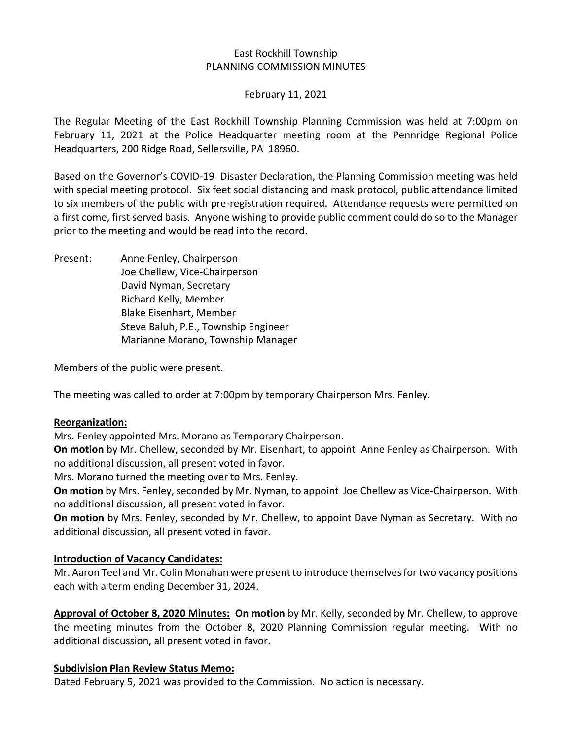### East Rockhill Township PLANNING COMMISSION MINUTES

#### February 11, 2021

The Regular Meeting of the East Rockhill Township Planning Commission was held at 7:00pm on February 11, 2021 at the Police Headquarter meeting room at the Pennridge Regional Police Headquarters, 200 Ridge Road, Sellersville, PA 18960.

Based on the Governor's COVID-19 Disaster Declaration, the Planning Commission meeting was held with special meeting protocol. Six feet social distancing and mask protocol, public attendance limited to six members of the public with pre-registration required. Attendance requests were permitted on a first come, first served basis. Anyone wishing to provide public comment could do so to the Manager prior to the meeting and would be read into the record.

Present: Anne Fenley, Chairperson Joe Chellew, Vice-Chairperson David Nyman, Secretary Richard Kelly, Member Blake Eisenhart, Member Steve Baluh, P.E., Township Engineer Marianne Morano, Township Manager

Members of the public were present.

The meeting was called to order at 7:00pm by temporary Chairperson Mrs. Fenley.

### **Reorganization:**

Mrs. Fenley appointed Mrs. Morano as Temporary Chairperson.

**On motion** by Mr. Chellew, seconded by Mr. Eisenhart, to appoint Anne Fenley as Chairperson. With no additional discussion, all present voted in favor.

Mrs. Morano turned the meeting over to Mrs. Fenley.

**On motion** by Mrs. Fenley, seconded by Mr. Nyman, to appoint Joe Chellew as Vice-Chairperson. With no additional discussion, all present voted in favor.

**On motion** by Mrs. Fenley, seconded by Mr. Chellew, to appoint Dave Nyman as Secretary. With no additional discussion, all present voted in favor.

# **Introduction of Vacancy Candidates:**

Mr. Aaron Teel and Mr. Colin Monahan were present to introduce themselves for two vacancy positions each with a term ending December 31, 2024.

**Approval of October 8, 2020 Minutes: On motion** by Mr. Kelly, seconded by Mr. Chellew, to approve the meeting minutes from the October 8, 2020 Planning Commission regular meeting. With no additional discussion, all present voted in favor.

### **Subdivision Plan Review Status Memo:**

Dated February 5, 2021 was provided to the Commission. No action is necessary.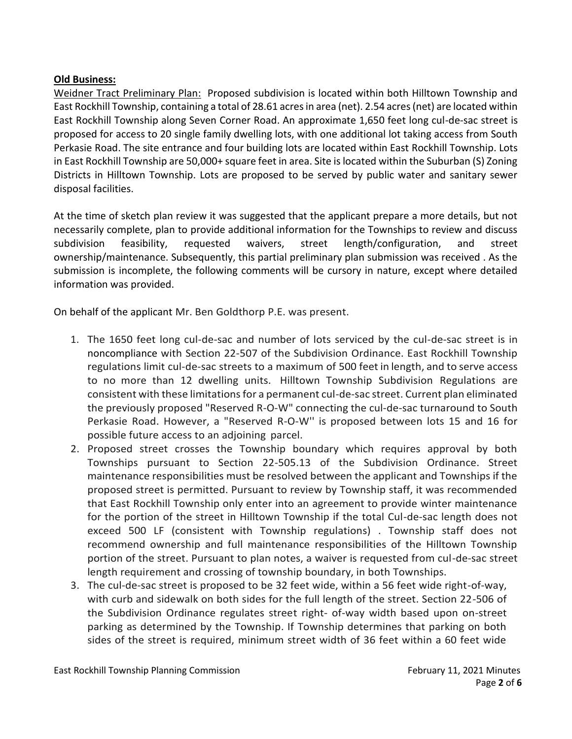## **Old Business:**

Weidner Tract Preliminary Plan: Proposed subdivision is located within both Hilltown Township and East Rockhill Township, containing a total of 28.61 acres in area (net). 2.54 acres (net) are located within East Rockhill Township along Seven Corner Road. An approximate 1,650 feet long cul-de-sac street is proposed for access to 20 single family dwelling lots, with one additional lot taking access from South Perkasie Road. The site entrance and four building lots are located within East Rockhill Township. Lots in East Rockhill Township are 50,000+ square feet in area. Site is located within the Suburban (S) Zoning Districts in Hilltown Township. Lots are proposed to be served by public water and sanitary sewer disposal facilities.

At the time of sketch plan review it was suggested that the applicant prepare a more details, but not necessarily complete, plan to provide additional information for the Townships to review and discuss subdivision feasibility, requested waivers, street length/configuration, and street ownership/maintenance. Subsequently, this partial preliminary plan submission was received . As the submission is incomplete, the following comments will be cursory in nature, except where detailed information was provided.

On behalf of the applicant Mr. Ben Goldthorp P.E. was present.

- 1. The 1650 feet long cul-de-sac and number of lots serviced by the cul-de-sac street is in noncompliance with Section 22-507 of the Subdivision Ordinance. East Rockhill Township regulations limit cul-de-sac streets to a maximum of 500 feet in length, and to serve access to no more than 12 dwelling units. Hilltown Township Subdivision Regulations are consistent with these limitations for a permanent cul-de-sac street. Current plan eliminated the previously proposed "Reserved R-O-W" connecting the cul-de-sac turnaround to South Perkasie Road. However, a "Reserved R-O-W'' is proposed between lots 15 and 16 for possible future access to an adjoining parcel.
- 2. Proposed street crosses the Township boundary which requires approval by both Townships pursuant to Section 22-505.13 of the Subdivision Ordinance. Street maintenance responsibilities must be resolved between the applicant and Townships if the proposed street is permitted. Pursuant to review by Township staff, it was recommended that East Rockhill Township only enter into an agreement to provide winter maintenance for the portion of the street in Hilltown Township if the total Cul-de-sac length does not exceed 500 LF (consistent with Township regulations) . Township staff does not recommend ownership and full maintenance responsibilities of the Hilltown Township portion of the street. Pursuant to plan notes, a waiver is requested from cul-de-sac street length requirement and crossing of township boundary, in both Townships.
- 3. The cul-de-sac street is proposed to be 32 feet wide, within a 56 feet wide right-of-way, with curb and sidewalk on both sides for the full length of the street. Section 22-506 of the Subdivision Ordinance regulates street right- of-way width based upon on-street parking as determined by the Township. If Township determines that parking on both sides of the street is required, minimum street width of 36 feet within a 60 feet wide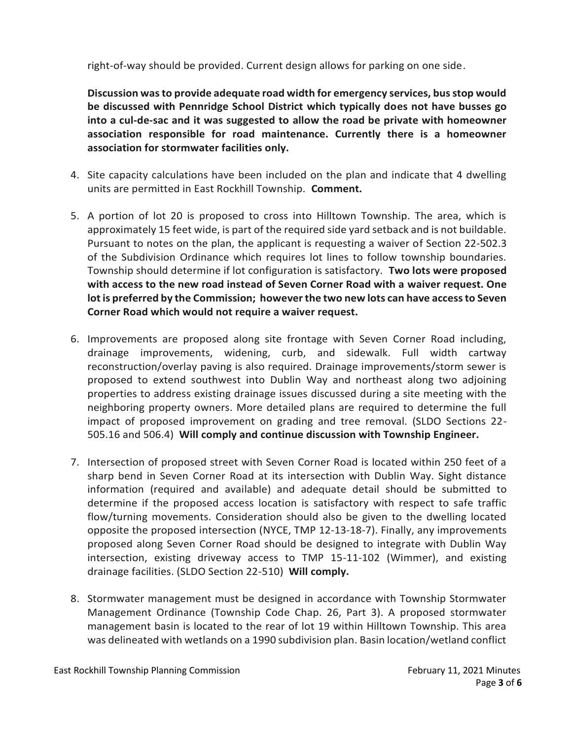right-of-way should be provided. Current design allows for parking on one side.

**Discussion was to provide adequate road width for emergency services, bus stop would be discussed with Pennridge School District which typically does not have busses go into a cul-de-sac and it was suggested to allow the road be private with homeowner association responsible for road maintenance. Currently there is a homeowner association for stormwater facilities only.** 

- 4. Site capacity calculations have been included on the plan and indicate that 4 dwelling units are permitted in East Rockhill Township. **Comment.**
- 5. A portion of lot 20 is proposed to cross into Hilltown Township. The area, which is approximately 15 feet wide, is part of the required side yard setback and is not buildable. Pursuant to notes on the plan, the applicant is requesting a waiver of Section 22-502.3 of the Subdivision Ordinance which requires lot lines to follow township boundaries. Township should determine if lot configuration is satisfactory. **Two lots were proposed with access to the new road instead of Seven Corner Road with a waiver request. One lot is preferred by the Commission; however the two new lots can have access to Seven Corner Road which would not require a waiver request.**
- 6. Improvements are proposed along site frontage with Seven Corner Road including, drainage improvements, widening, curb, and sidewalk. Full width cartway reconstruction/overlay paving is also required. Drainage improvements/storm sewer is proposed to extend southwest into Dublin Way and northeast along two adjoining properties to address existing drainage issues discussed during a site meeting with the neighboring property owners. More detailed plans are required to determine the full impact of proposed improvement on grading and tree removal. (SLDO Sections 22- 505.16 and 506.4) **Will comply and continue discussion with Township Engineer.**
- 7. Intersection of proposed street with Seven Corner Road is located within 250 feet of a sharp bend in Seven Corner Road at its intersection with Dublin Way. Sight distance information (required and available) and adequate detail should be submitted to determine if the proposed access location is satisfactory with respect to safe traffic flow/turning movements. Consideration should also be given to the dwelling located opposite the proposed intersection (NYCE, TMP 12-13-18-7). Finally, any improvements proposed along Seven Corner Road should be designed to integrate with Dublin Way intersection, existing driveway access to TMP 15-11-102 (Wimmer), and existing drainage facilities. (SLDO Section 22-510) **Will comply.**
- 8. Stormwater management must be designed in accordance with Township Stormwater Management Ordinance (Township Code Chap. 26, Part 3). A proposed stormwater management basin is located to the rear of lot 19 within Hilltown Township. This area was delineated with wetlands on a 1990 subdivision plan. Basin location/wetland conflict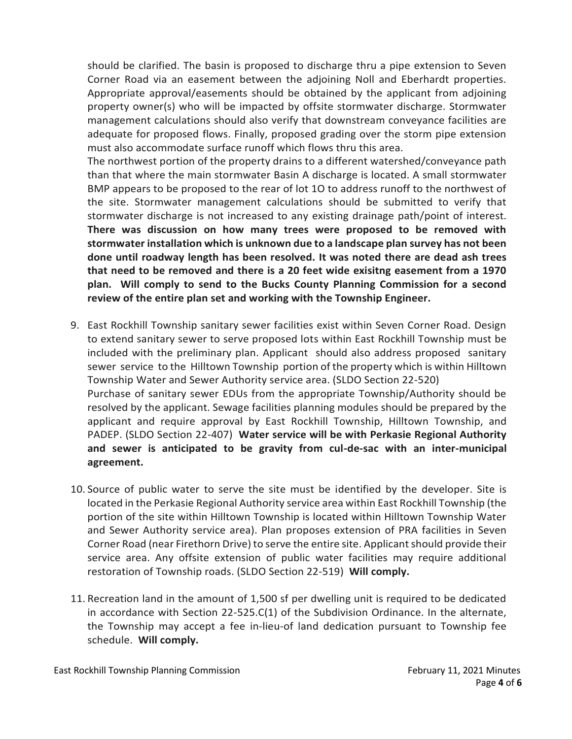should be clarified. The basin is proposed to discharge thru a pipe extension to Seven Corner Road via an easement between the adjoining Noll and Eberhardt properties. Appropriate approval/easements should be obtained by the applicant from adjoining property owner(s) who will be impacted by offsite stormwater discharge. Stormwater management calculations should also verify that downstream conveyance facilities are adequate for proposed flows. Finally, proposed grading over the storm pipe extension must also accommodate surface runoff which flows thru this area.

The northwest portion of the property drains to a different watershed/conveyance path than that where the main stormwater Basin A discharge is located. A small stormwater BMP appears to be proposed to the rear of lot 1O to address runoff to the northwest of the site. Stormwater management calculations should be submitted to verify that stormwater discharge is not increased to any existing drainage path/point of interest. **There was discussion on how many trees were proposed to be removed with stormwater installation which is unknown due to a landscape plan survey has not been done until roadway length has been resolved. It was noted there are dead ash trees that need to be removed and there is a 20 feet wide exisitng easement from a 1970 plan. Will comply to send to the Bucks County Planning Commission for a second review of the entire plan set and working with the Township Engineer.** 

- 9. East Rockhill Township sanitary sewer facilities exist within Seven Corner Road. Design to extend sanitary sewer to serve proposed lots within East Rockhill Township must be included with the preliminary plan. Applicant should also address proposed sanitary sewer service to the Hilltown Township portion of the property which is within Hilltown Township Water and Sewer Authority service area. (SLDO Section 22-520) Purchase of sanitary sewer EDUs from the appropriate Township/Authority should be resolved by the applicant. Sewage facilities planning modules should be prepared by the applicant and require approval by East Rockhill Township, Hilltown Township, and PADEP. (SLDO Section 22-407) **Water service will be with Perkasie Regional Authority and sewer is anticipated to be gravity from cul-de-sac with an inter-municipal agreement.**
- 10. Source of public water to serve the site must be identified by the developer. Site is located in the Perkasie Regional Authority service area within East Rockhill Township (the portion of the site within Hilltown Township is located within Hilltown Township Water and Sewer Authority service area). Plan proposes extension of PRA facilities in Seven Corner Road (near Firethorn Drive) to serve the entire site. Applicant should provide their service area. Any offsite extension of public water facilities may require additional restoration of Township roads. (SLDO Section 22-519) **Will comply.**
- 11. Recreation land in the amount of 1,500 sf per dwelling unit is required to be dedicated in accordance with Section 22-525.C(1) of the Subdivision Ordinance. In the alternate, the Township may accept a fee in-lieu-of land dedication pursuant to Township fee schedule. **Will comply.**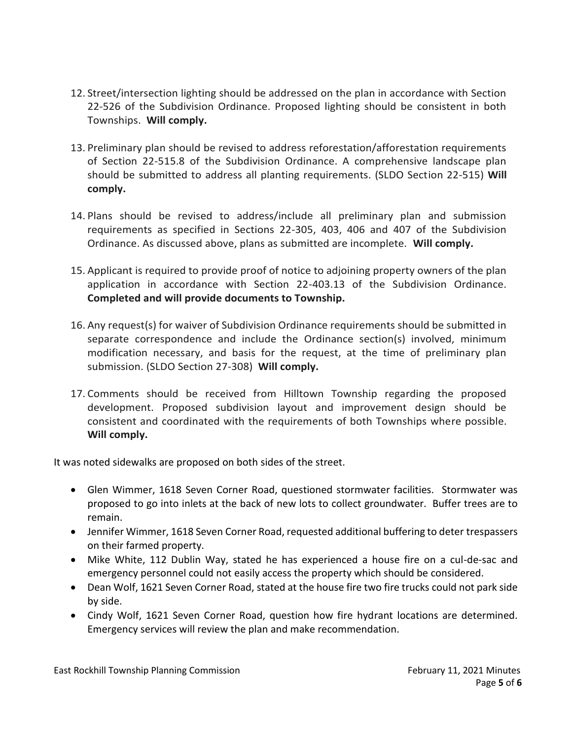- 12. Street/intersection lighting should be addressed on the plan in accordance with Section 22-526 of the Subdivision Ordinance. Proposed lighting should be consistent in both Townships. **Will comply.**
- 13. Preliminary plan should be revised to address reforestation/afforestation requirements of Section 22-515.8 of the Subdivision Ordinance. A comprehensive landscape plan should be submitted to address all planting requirements. (SLDO Section 22-515) **Will comply.**
- 14. Plans should be revised to address/include all preliminary plan and submission requirements as specified in Sections 22-305, 403, 406 and 407 of the Subdivision Ordinance. As discussed above, plans as submitted are incomplete. **Will comply.**
- 15. Applicant is required to provide proof of notice to adjoining property owners of the plan application in accordance with Section 22-403.13 of the Subdivision Ordinance. **Completed and will provide documents to Township.**
- 16. Any request(s) for waiver of Subdivision Ordinance requirements should be submitted in separate correspondence and include the Ordinance section(s) involved, minimum modification necessary, and basis for the request, at the time of preliminary plan submission. (SLDO Section 27-308) **Will comply.**
- 17. Comments should be received from Hilltown Township regarding the proposed development. Proposed subdivision layout and improvement design should be consistent and coordinated with the requirements of both Townships where possible. **Will comply.**

It was noted sidewalks are proposed on both sides of the street.

- Glen Wimmer, 1618 Seven Corner Road, questioned stormwater facilities. Stormwater was proposed to go into inlets at the back of new lots to collect groundwater. Buffer trees are to remain.
- Jennifer Wimmer, 1618 Seven Corner Road, requested additional buffering to deter trespassers on their farmed property.
- Mike White, 112 Dublin Way, stated he has experienced a house fire on a cul-de-sac and emergency personnel could not easily access the property which should be considered.
- Dean Wolf, 1621 Seven Corner Road, stated at the house fire two fire trucks could not park side by side.
- Cindy Wolf, 1621 Seven Corner Road, question how fire hydrant locations are determined. Emergency services will review the plan and make recommendation.